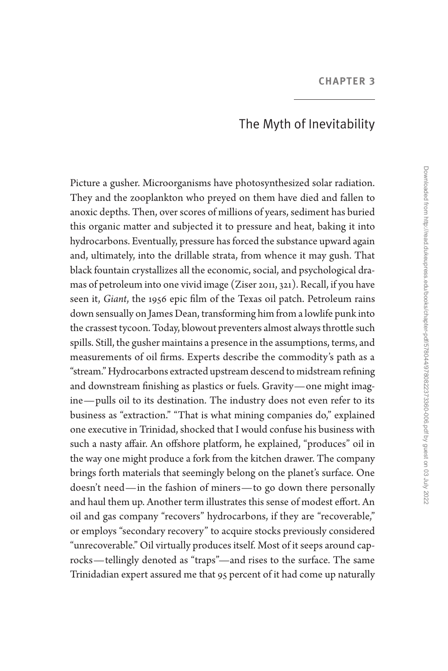# [The Myth of Inevitability](#page--1-0)

Picture a gusher. Microorganisms have photosynthesized solar radiation. They and the zooplankton who preyed on them have died and fallen to anoxic depths. Then, over scores of millions of years, sediment has buried this organic matter and subjected it to pressure and heat, baking it into hydrocarbons. Eventually, pressure has forced the substance upward again and, ultimately, into the drillable strata, from whence it may gush. That black fountain crystallizes all the economic, social, and psychological dramas of petroleum into one vivid image (Ziser 2011, 321). Recall, if you have seen it, *Giant*, the 1956 epic film of the Texas oil patch. Petroleum rains down sensually on James Dean, transforming him from a lowlife punk into the crassest tycoon. Today, blowout preventers almost always throttle such spills. Still, the gusher maintains a presence in the assumptions, terms, and measurements of oil firms. Experts describe the commodity's path as a "stream." Hydrocarbons extracted upstream descend to midstream refining and downstream finishing as plastics or fuels. Gravity—one might imagine—pulls oil to its destination. The industry does not even refer to its business as "extraction." "That is what mining companies do," explained one executive in Trinidad, shocked that I would confuse his business with such a nasty affair. An offshore platform, he explained, "produces" oil in the way one might produce a fork from the kitchen drawer. The company brings forth materials that seemingly belong on the planet's surface. One doesn't need—in the fashion of miners—to go down there personally and haul them up. Another term illustrates this sense of modest effort. An oil and gas company "recovers" hydrocarbons, if they are "recoverable," or employs "secondary recovery" to acquire stocks previously considered "unrecoverable." Oil virtually produces itself. Most of it seeps around caprocks—tellingly denoted as "traps"—and rises to the surface. The same Trinidadian expert assured me that 95 percent of it had come up naturally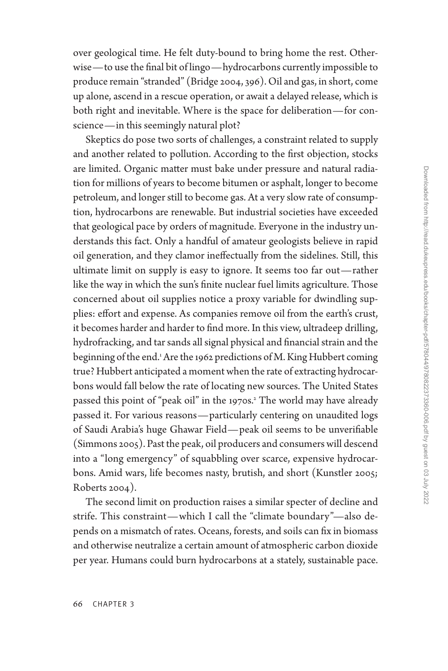over geological time. He felt duty-bound to bring home the rest. Otherwise—to use the final bit of lingo—hydrocarbons currently impossible to produce remain "stranded" (Bridge 2004, 396). Oil and gas, in short, come up alone, ascend in a rescue operation, or await a delayed release, which is both right and inevitable. Where is the space for deliberation—for conscience—in this seemingly natural plot?

Skeptics do pose two sorts of challenges, a constraint related to supply and another related to pollution. According to the first objection, stocks are limited. Organic matter must bake under pressure and natural radiation for millions of years to become bitumen or asphalt, longer to become petroleum, and longer still to become gas. At a very slow rate of consumption, hydrocarbons are renewable. But industrial societies have exceeded that geological pace by orders of magnitude. Everyone in the industry understands this fact. Only a handful of amateur geologists believe in rapid oil generation, and they clamor ineffectually from the sidelines. Still, this ultimate limit on supply is easy to ignore. It seems too far out—rather like the way in which the sun's finite nuclear fuel limits agriculture. Those concerned about oil supplies notice a proxy variable for dwindling supplies: effort and expense. As companies remove oil from the earth's crust, it becomes harder and harder to find more. In this view, ultradeep drilling, hydrofracking, and tar sands all signal physical and financial strain and the beginning of the end.<sup>1</sup> Are the 1962 predictions of M. King Hubbert coming true? Hubbert anticipated a moment when the rate of extracting hydrocarbons would fall below the rate of locating new sources. The United States passed this point of "peak oil" in the 1970s.<sup>2</sup> The world may have already passed it. For various reasons—particularly centering on unaudited logs of Saudi Arabia's huge Ghawar Field—peak oil seems to be unverifiable (Simmons 2005). Past the peak, oil producers and consumers will descend into a "long emergency" of squabbling over scarce, expensive hydrocarbons. Amid wars, life becomes nasty, brutish, and short (Kunstler 2005; Roberts 2004).

The second limit on production raises a similar specter of decline and strife. This constraint—which I call the "climate boundary"—also depends on a mismatch of rates. Oceans, forests, and soils can fix in biomass and otherwise neutralize a certain amount of atmospheric carbon dioxide per year. Humans could burn hydrocarbons at a stately, sustainable pace.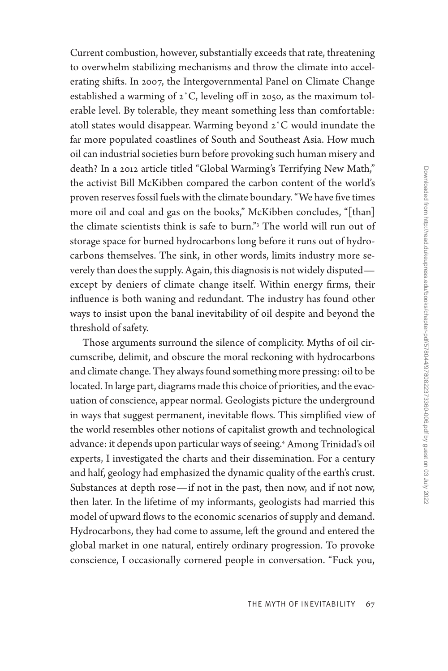Current combustion, however, substantially exceeds that rate, threatening to overwhelm stabilizing mechanisms and throw the climate into accelerating shifts. In 2007, the Intergovernmental Panel on Climate Change established a warming of  $2^{\circ}$ C, leveling off in 2050, as the maximum tolerable level. By tolerable, they meant something less than comfortable: atoll states would disappear. Warming beyond 2˚C would inundate the far more populated coastlines of South and Southeast Asia. How much oil can industrial societies burn before provoking such human misery and death? In a 2012 article titled "Global Warming's Terrifying New Math," the activist Bill McKibben compared the carbon content of the world's proven reserves fossil fuels with the climate boundary. "We have five times more oil and coal and gas on the books," McKibben concludes, "[than] the climate scientists think is safe to burn.["3](#page--1-0) The world will run out of storage space for burned hydrocarbons long before it runs out of hydrocarbons themselves. The sink, in other words, limits industry more severely than does the supply. Again, this diagnosis is not widely disputed except by deniers of climate change itself. Within energy firms, their influence is both waning and redundant. The industry has found other ways to insist upon the banal inevitability of oil despite and beyond the threshold of safety.

Those arguments surround the silence of complicity. Myths of oil circumscribe, delimit, and obscure the moral reckoning with hydrocarbons and climate change. They always found something more pressing: oil to be located. In large part, diagrams made this choice of priorities, and the evacuation of conscience, appear normal. Geologists picture the underground in ways that suggest permanent, inevitable flows. This simplified view of the world resembles other notions of capitalist growth and technological advance: it depends upon particular ways of seeing.[4](#page--1-0) Among Trinidad's oil experts, I investigated the charts and their dissemination. For a century and half, geology had emphasized the dynamic quality of the earth's crust. Substances at depth rose—if not in the past, then now, and if not now, then later. In the lifetime of my informants, geologists had married this model of upward flows to the economic scenarios of supply and demand. Hydrocarbons, they had come to assume, left the ground and entered the global market in one natural, entirely ordinary progression. To provoke conscience, I occasionally cornered people in conversation. "Fuck you,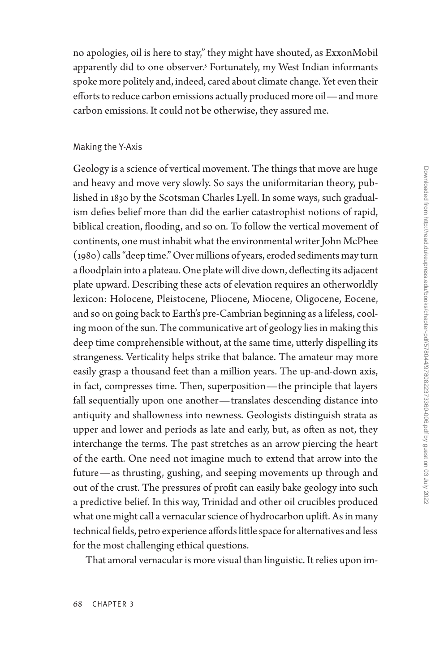no apologies, oil is here to stay," they might have shouted, as ExxonMobil apparently did to one observer[.5](#page--1-0) Fortunately, my West Indian informants spoke more politely and, indeed, cared about climate change. Yet even their efforts to reduce carbon emissions actually produced more oil—and more carbon emissions. It could not be otherwise, they assured me.

### Making the Y-Axis

Geology is a science of vertical movement. The things that move are huge and heavy and move very slowly. So says the uniformitarian theory, published in 1830 by the Scotsman Charles Lyell. In some ways, such gradualism defies belief more than did the earlier catastrophist notions of rapid, biblical creation, flooding, and so on. To follow the vertical movement of continents, one must inhabit what the environmental writer John McPhee (1980) calls "deep time." Over millions of years, eroded sediments may turn a floodplain into a plateau. One plate will dive down, deflecting its adjacent plate upward. Describing these acts of elevation requires an otherworldly lexicon: Holocene, Pleistocene, Pliocene, Miocene, Oligocene, Eocene, and so on going back to Earth's pre-Cambrian beginning as a lifeless, cooling moon of the sun. The communicative art of geology lies in making this deep time comprehensible without, at the same time, utterly dispelling its strangeness. Verticality helps strike that balance. The amateur may more easily grasp a thousand feet than a million years. The up-and-down axis, in fact, compresses time. Then, superposition—the principle that layers fall sequentially upon one another—translates descending distance into antiquity and shallowness into newness. Geologists distinguish strata as upper and lower and periods as late and early, but, as often as not, they interchange the terms. The past stretches as an arrow piercing the heart of the earth. One need not imagine much to extend that arrow into the future—as thrusting, gushing, and seeping movements up through and out of the crust. The pressures of profit can easily bake geology into such a predictive belief. In this way, Trinidad and other oil crucibles produced what one might call a vernacular science of hydrocarbon uplift. As in many technical fields, petro experience affords little space for alternatives and less for the most challenging ethical questions.

That amoral vernacular is more visual than linguistic. It relies upon im-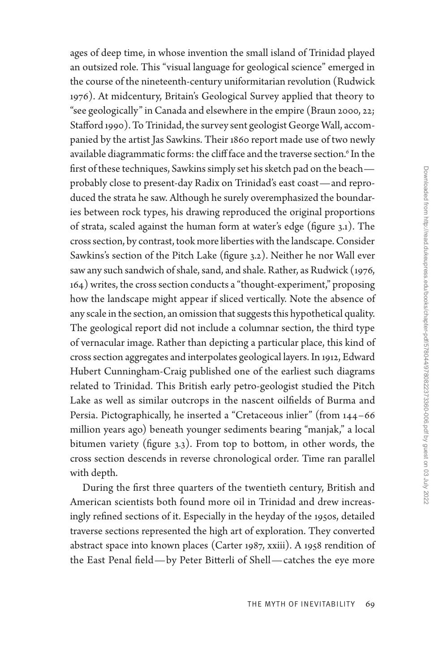ages of deep time, in whose invention the small island of Trinidad played an outsized role. This "visual language for geological science" emerged in the course of the nineteenth-century uniformitarian revolution (Rudwick 1976). At midcentury, Britain's Geological Survey applied that theory to "see geologically" in Canada and elsewhere in the empire (Braun 2000, 22; Stafford 1990). To Trinidad, the survey sent geologist George Wall, accompanied by the artist Jas Sawkins. Their 1860 report made use of two newly available diagrammatic forms: the cliff face and the traverse section.<sup>[6](#page--1-0)</sup> In the first of these techniques, Sawkins simply set his sketch pad on the beach probably close to present-day Radix on Trinidad's east coast—and reproduced the strata he saw. Although he surely overemphasized the boundaries between rock types, his drawing reproduced the original proportions of strata, scaled against the human form at water's edge [\(figure 3.1\)](#page-5-0). The cross section, by contrast, took more liberties with the landscape. Consider Sawkins's section of the Pitch Lake [\(figure 3.2\)](#page-5-0). Neither he nor Wall ever saw any such sandwich of shale, sand, and shale. Rather, as Rudwick (1976, 164) writes, the cross section conducts a "thought-experiment," proposing how the landscape might appear if sliced vertically. Note the absence of any scale in the section, an omission that suggests this hypothetical quality. The geological report did not include a columnar section, the third type of vernacular image. Rather than depicting a particular place, this kind of cross section aggregates and interpolates geological layers. In 1912, Edward Hubert Cunningham-Craig published one of the earliest such diagrams related to Trinidad. This British early petro-geologist studied the Pitch Lake as well as similar outcrops in the nascent oilfields of Burma and Persia. Pictographically, he inserted a "Cretaceous inlier" (from 144–66 million years ago) beneath younger sediments bearing "manjak," a local bitumen variety [\(figure 3.3\)](#page-6-0). From top to bottom, in other words, the cross section descends in reverse chronological order. Time ran parallel with depth.

During the first three quarters of the twentieth century, British and American scientists both found more oil in Trinidad and drew increasingly refined sections of it. Especially in the heyday of the 1950s, detailed traverse sections represented the high art of exploration. They converted abstract space into known places (Carter 1987, xxiii). A 1958 rendition of the East Penal field—by Peter Bitterli of Shell—catches the eye more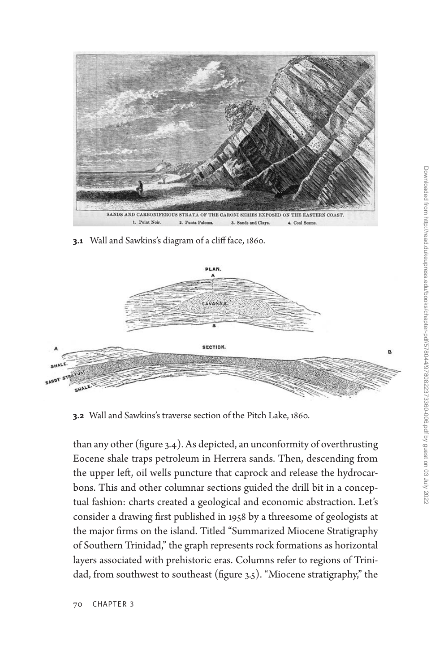<span id="page-5-0"></span>

**3.1** Wall and Sawkins's diagram of a cliff face, 1860.



**3.2** Wall and Sawkins's traverse section of the Pitch Lake, 1860.

than any other ([figure 3.4\)](#page-7-0). As depicted, an unconformity of overthrusting Eocene shale traps petroleum in Herrera sands. Then, descending from the upper left, oil wells puncture that caprock and release the hydrocarbons. This and other columnar sections guided the drill bit in a conceptual fashion: charts created a geological and economic abstraction. Let's consider a drawing first published in 1958 by a threesome of geologists at the major firms on the island. Titled "Summarized Miocene Stratigraphy of Southern Trinidad," the graph represents rock formations as horizontal layers associated with prehistoric eras. Columns refer to regions of Trinidad, from southwest to southeast [\(figure 3.5\)](#page-8-0). "Miocene stratigraphy," the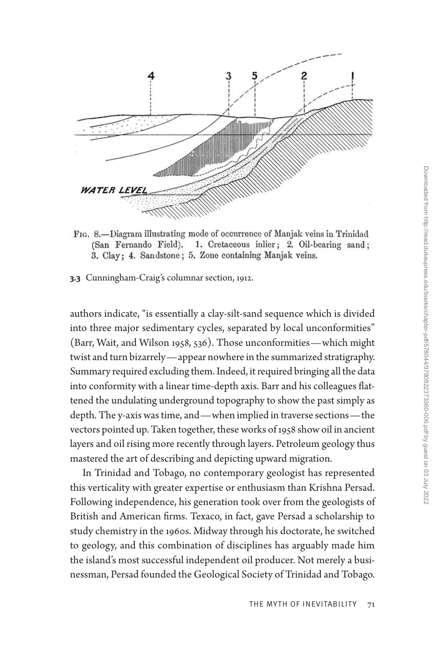<span id="page-6-0"></span>

FIG. 8.-Diagram illustrating mode of occurrence of Manjak veins in Trinidad 1. Cretaceous inlier; 2. Oil-bearing sand; (San Fernando Field). 3. Clay; 4. Sandstone; 5. Zone containing Manjak veins.

**3.3** Cunningham-Craig's columnar section, 1912.

authors indicate, "is essentially a clay-silt-sand sequence which is divided into three major sedimentary cycles, separated by local unconformities" (Barr, Wait, and Wilson 1958, 536). Those unconformities—which might twist and turn bizarrely—appear nowhere in the summarized stratigraphy. Summary required excluding them. Indeed, it required bringing all the data into conformity with a linear time-depth axis. Barr and his colleagues flattened the undulating underground topography to show the past simply as depth. The y-axis was time, and—when implied in traverse sections—the vectors pointed up. Taken together, these works of 1958 show oil in ancient layers and oil rising more recently through layers. Petroleum geology thus mastered the art of describing and depicting upward migration.

In Trinidad and Tobago, no contemporary geologist has represented this verticality with greater expertise or enthusiasm than Krishna Persad. Following independence, his generation took over from the geologists of British and American firms. Texaco, in fact, gave Persad a scholarship to study chemistry in the 1960s. Midway through his doctorate, he switched to geology, and this combination of disciplines has arguably made him the island's most successful independent oil producer. Not merely a businessman, Persad founded the Geological Society of Trinidad and Tobago.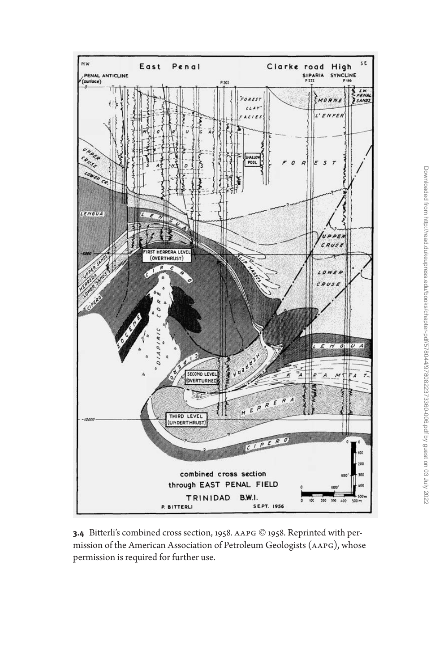<span id="page-7-0"></span>

**3.4** Bitterli's combined cross section, 1958. aapg © 1958. Reprinted with permission of the American Association of Petroleum Geologists (aapg), whose permission is required for further use.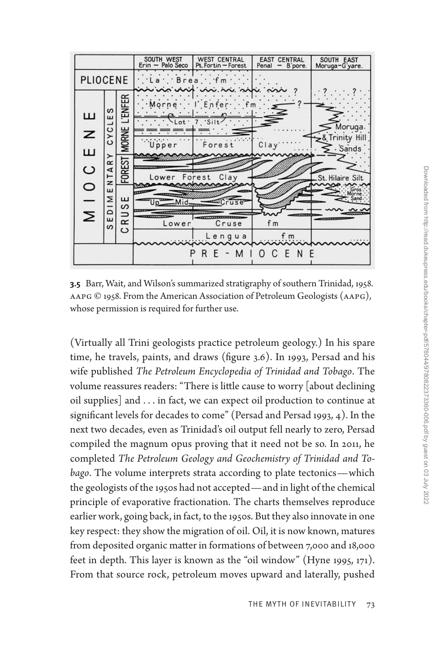<span id="page-8-0"></span>

**3.5** Barr, Wait, and Wilson's summarized stratigraphy of southern Trinidad, 1958. aapg © 1958. From the American Association of Petroleum Geologists (aapg), whose permission is required for further use.

(Virtually all Trini geologists practice petroleum geology.) In his spare time, he travels, paints, and draws [\(figure 3.6\)](#page-9-0). In 1993, Persad and his wife published *The Petroleum Encyclopedia of Trinidad and Tobago*. The volume reassures readers: "There is little cause to worry [about declining oil supplies] and . . . in fact, we can expect oil production to continue at significant levels for decades to come" (Persad and Persad 1993, 4). In the next two decades, even as Trinidad's oil output fell nearly to zero, Persad compiled the magnum opus proving that it need not be so. In 2011, he completed *The Petroleum Geology and Geochemistry of Trinidad and Tobago*. The volume interprets strata according to plate tectonics—which the geologists of the 1950s had not accepted—and in light of the chemical principle of evaporative fractionation. The charts themselves reproduce earlier work, going back, in fact, to the 1950s. But they also innovate in one key respect: they show the migration of oil. Oil, it is now known, matures from deposited organic matter in formations of between 7,000 and 18,000 feet in depth. This layer is known as the "oil window" (Hyne 1995, 171). From that source rock, petroleum moves upward and laterally, pushed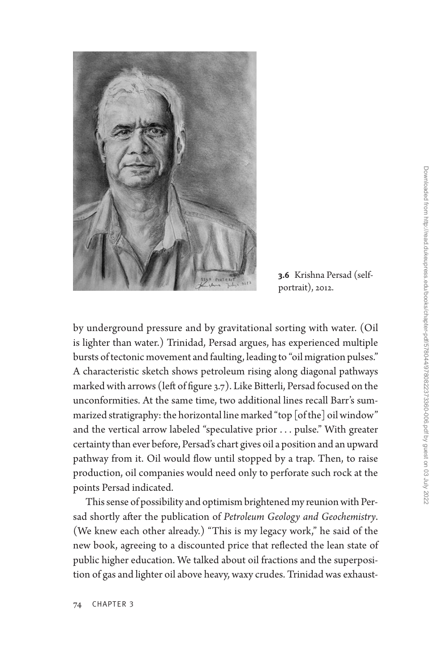<span id="page-9-0"></span>

**3.6** Krishna Persad (selfportrait), 2012.

by underground pressure and by gravitational sorting with water. (Oil is lighter than water.) Trinidad, Persad argues, has experienced multiple bursts of tectonic movement and faulting, leading to "oil migration pulses." A characteristic sketch shows petroleum rising along diagonal pathways marked with arrows (left o[f figure 3.7\)](#page-10-0). Like Bitterli, Persad focused on the unconformities. At the same time, two additional lines recall Barr's summarized stratigraphy: the horizontal line marked "top [of the] oil window" and the vertical arrow labeled "speculative prior . . . pulse." With greater certainty than ever before, Persad's chart gives oil a position and an upward pathway from it. Oil would flow until stopped by a trap. Then, to raise production, oil companies would need only to perforate such rock at the points Persad indicated.

This sense of possibility and optimism brightened my reunion with Persad shortly after the publication of *Petroleum Geology and Geochemistry*. (We knew each other already.) "This is my legacy work," he said of the new book, agreeing to a discounted price that reflected the lean state of public higher education. We talked about oil fractions and the superposition of gas and lighter oil above heavy, waxy crudes. Trinidad was exhaust-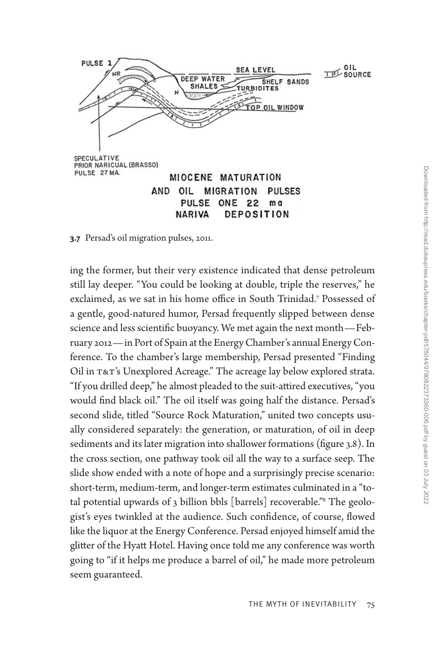<span id="page-10-0"></span>

**3.7** Persad's oil migration pulses, 2011.

ing the former, but their very existence indicated that dense petroleum still lay deeper. "You could be looking at double, triple the reserves," he exclaimed, as we sat in his home office in South Trinidad[.7](#page--1-0) Possessed of a gentle, good-natured humor, Persad frequently slipped between dense science and less scientific buoyancy. We met again the next month—February 2012—in Port of Spain at the Energy Chamber's annual Energy Conference. To the chamber's large membership, Persad presented "Finding Oil in T&T's Unexplored Acreage." The acreage lay below explored strata. "If you drilled deep," he almost pleaded to the suit-attired executives, "you would find black oil." The oil itself was going half the distance. Persad's second slide, titled "Source Rock Maturation," united two concepts usually considered separately: the generation, or maturation, of oil in deep sediments and its later migration into shallower formations [\(figure 3.8\)](#page-11-0). In the cross section, one pathway took oil all the way to a surface seep. The slide show ended with a note of hope and a surprisingly precise scenario: short-term, medium-term, and longer-term estimates culminated in a "total potential upwards of 3 billion bbls [barrels] recoverable.["8](#page--1-0) The geologist's eyes twinkled at the audience. Such confidence, of course, flowed like the liquor at the Energy Conference. Persad enjoyed himself amid the glitter of the Hyatt Hotel. Having once told me any conference was worth going to "if it helps me produce a barrel of oil," he made more petroleum seem guaranteed.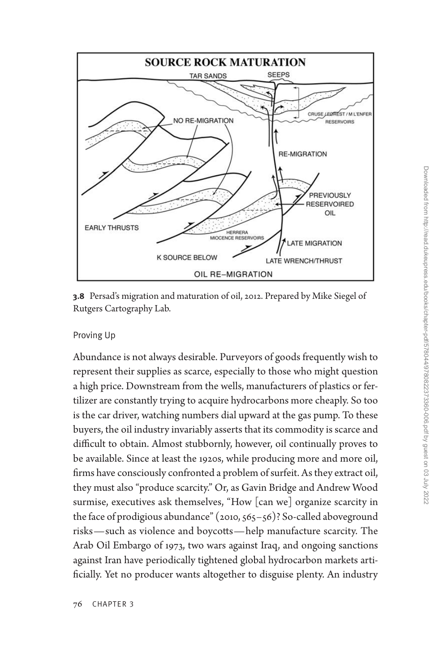<span id="page-11-0"></span>

**3.8** Persad's migration and maturation of oil, 2012. Prepared by Mike Siegel of Rutgers Cartography Lab.

## Proving Up

Abundance is not always desirable. Purveyors of goods frequently wish to represent their supplies as scarce, especially to those who might question a high price. Downstream from the wells, manufacturers of plastics or fertilizer are constantly trying to acquire hydrocarbons more cheaply. So too is the car driver, watching numbers dial upward at the gas pump. To these buyers, the oil industry invariably asserts that its commodity is scarce and difficult to obtain. Almost stubbornly, however, oil continually proves to be available. Since at least the 1920s, while producing more and more oil, firms have consciously confronted a problem of surfeit. As they extract oil, they must also "produce scarcity." Or, as Gavin Bridge and Andrew Wood surmise, executives ask themselves, "How [can we] organize scarcity in the face of prodigious abundance"  $(2010, 565-56)$ ? So-called aboveground risks—such as violence and boycotts—help manufacture scarcity. The Arab Oil Embargo of 1973, two wars against Iraq, and ongoing sanctions against Iran have periodically tightened global hydrocarbon markets artificially. Yet no producer wants altogether to disguise plenty. An industry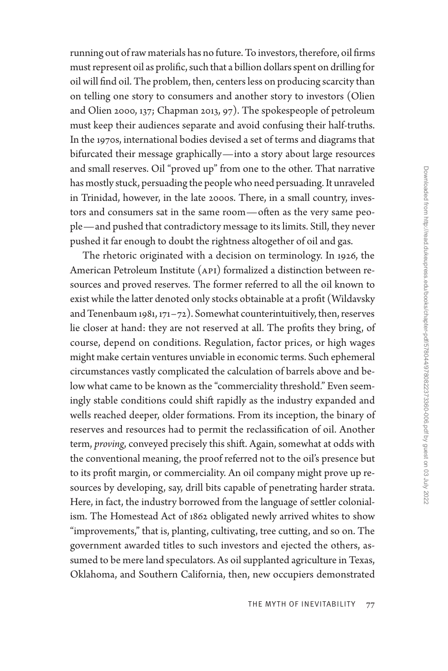running out of raw materials has no future. To investors, therefore, oil firms must represent oil as prolific, such that a billion dollars spent on drilling for oil will find oil. The problem, then, centers less on producing scarcity than on telling one story to consumers and another story to investors (Olien and Olien 2000, 137; Chapman 2013, 97). The spokespeople of petroleum must keep their audiences separate and avoid confusing their half-truths. In the 1970s, international bodies devised a set of terms and diagrams that bifurcated their message graphically—into a story about large resources and small reserves. Oil "proved up" from one to the other. That narrative has mostly stuck, persuading the people who need persuading. It unraveled in Trinidad, however, in the late 2000s. There, in a small country, investors and consumers sat in the same room—often as the very same people—and pushed that contradictory message to its limits. Still, they never pushed it far enough to doubt the rightness altogether of oil and gas.

The rhetoric originated with a decision on terminology. In 1926, the American Petroleum Institute (api) formalized a distinction between resources and proved reserves. The former referred to all the oil known to exist while the latter denoted only stocks obtainable at a profit (Wildavsky and Tenenbaum 1981, 171–72). Somewhat counterintuitively, then, reserves lie closer at hand: they are not reserved at all. The profits they bring, of course, depend on conditions. Regulation, factor prices, or high wages might make certain ventures unviable in economic terms. Such ephemeral circumstances vastly complicated the calculation of barrels above and below what came to be known as the "commerciality threshold." Even seemingly stable conditions could shift rapidly as the industry expanded and wells reached deeper, older formations. From its inception, the binary of reserves and resources had to permit the reclassification of oil. Another term, *proving*, conveyed precisely this shift. Again, somewhat at odds with the conventional meaning, the proof referred not to the oil's presence but to its profit margin, or commerciality. An oil company might prove up resources by developing, say, drill bits capable of penetrating harder strata. Here, in fact, the industry borrowed from the language of settler colonialism. The Homestead Act of 1862 obligated newly arrived whites to show "improvements," that is, planting, cultivating, tree cutting, and so on. The government awarded titles to such investors and ejected the others, assumed to be mere land speculators. As oil supplanted agriculture in Texas, Oklahoma, and Southern California, then, new occupiers demonstrated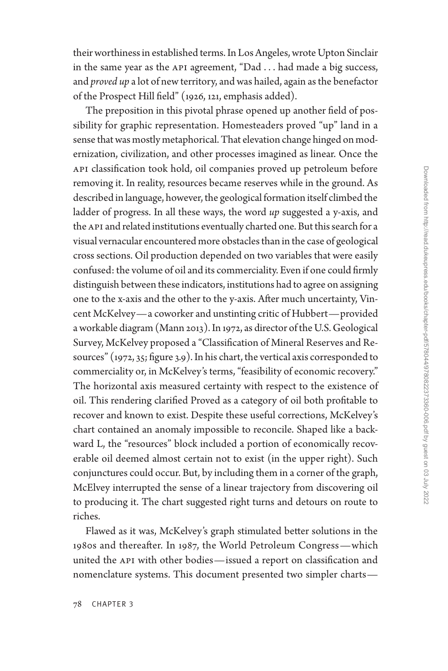their worthiness in established terms. In Los Angeles, wrote Upton Sinclair in the same year as the API agreement, "Dad . . . had made a big success, and *proved up* a lot of new territory, and was hailed, again as the benefactor of the Prospect Hill field" (1926, 121, emphasis added).

The preposition in this pivotal phrase opened up another field of possibility for graphic representation. Homesteaders proved "up" land in a sense that was mostly metaphorical. That elevation change hinged on modernization, civilization, and other processes imagined as linear. Once the api classification took hold, oil companies proved up petroleum before removing it. In reality, resources became reserves while in the ground. As described in language, however, the geological formation itself climbed the ladder of progress. In all these ways, the word *up* suggested a y-axis, and the API and related institutions eventually charted one. But this search for a visual vernacular encountered more obstacles than in the case of geological cross sections. Oil production depended on two variables that were easily confused: the volume of oil and its commerciality. Even if one could firmly distinguish between these indicators, institutions had to agree on assigning one to the x-axis and the other to the y-axis. After much uncertainty, Vincent McKelvey—a coworker and unstinting critic of Hubbert—provided a workable diagram (Mann 2013). In 1972, as director of the U.S. Geological Survey, McKelvey proposed a "Classification of Mineral Reserves and Resources" (1972, 35; [figure 3.9\)](#page-14-0). In his chart, the vertical axis corresponded to commerciality or, in McKelvey's terms, "feasibility of economic recovery." The horizontal axis measured certainty with respect to the existence of oil. This rendering clarified Proved as a category of oil both profitable to recover and known to exist. Despite these useful corrections, McKelvey's chart contained an anomaly impossible to reconcile. Shaped like a backward L, the "resources" block included a portion of economically recoverable oil deemed almost certain not to exist (in the upper right). Such conjunctures could occur. But, by including them in a corner of the graph, McElvey interrupted the sense of a linear trajectory from discovering oil to producing it. The chart suggested right turns and detours on route to riches.

Flawed as it was, McKelvey's graph stimulated better solutions in the 1980s and thereafter. In 1987, the World Petroleum Congress—which united the API with other bodies—issued a report on classification and nomenclature systems. This document presented two simpler charts—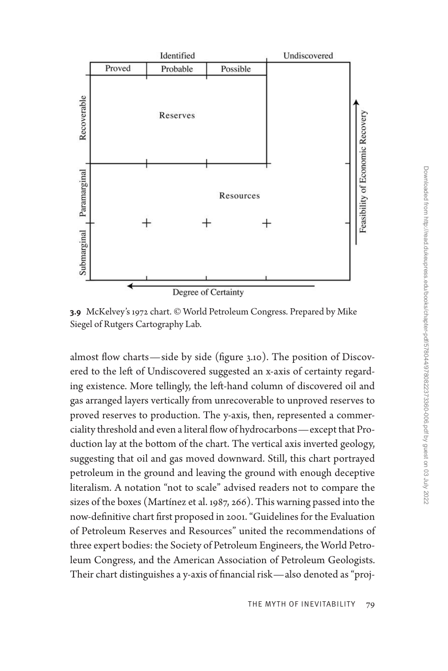<span id="page-14-0"></span>

**3.9** McKelvey's 1972 chart. © World Petroleum Congress. Prepared by Mike Siegel of Rutgers Cartography Lab.

almost flow charts—side by side [\(figure 3.10](#page-15-0)). The position of Discovered to the left of Undiscovered suggested an x-axis of certainty regarding existence. More tellingly, the left-hand column of discovered oil and gas arranged layers vertically from unrecoverable to unproved reserves to proved reserves to production. The y-axis, then, represented a commerciality threshold and even a literal flow of hydrocarbons—except that Production lay at the bottom of the chart. The vertical axis inverted geology, suggesting that oil and gas moved downward. Still, this chart portrayed petroleum in the ground and leaving the ground with enough deceptive literalism. A notation "not to scale" advised readers not to compare the sizes of the boxes (Martínez et al. 1987, 266). This warning passed into the now-definitive chart first proposed in 2001. "Guidelines for the Evaluation of Petroleum Reserves and Resources" united the recommendations of three expert bodies: the Society of Petroleum Engineers, the World Petroleum Congress, and the American Association of Petroleum Geologists. Their chart distinguishes a y-axis of financial risk—also denoted as "proj-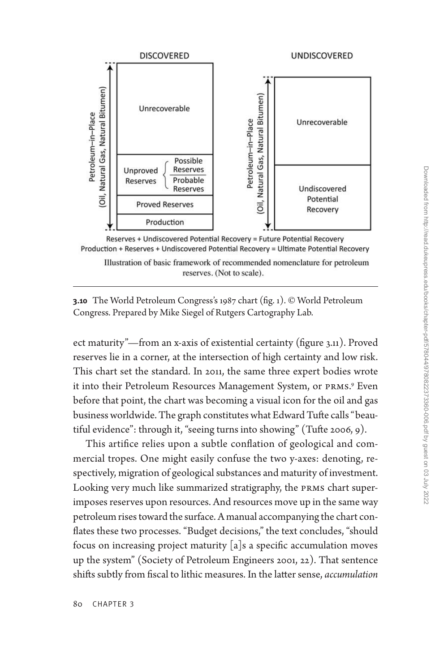<span id="page-15-0"></span>

reserves. (Not to scale).



ect maturity"—from an x-axis of existential certainty [\(figure 3.11\)](#page-16-0). Proved reserves lie in a corner, at the intersection of high certainty and low risk. This chart set the standard. In 2011, the same three expert bodies wrote it into their Petroleum Resources Management System, or PRMS.<sup>[9](#page--1-0)</sup> Even before that point, the chart was becoming a visual icon for the oil and gas business worldwide. The graph constitutes what Edward Tufte calls "beautiful evidence": through it, "seeing turns into showing" (Tufte 2006, 9).

This artifice relies upon a subtle conflation of geological and commercial tropes. One might easily confuse the two y-axes: denoting, respectively, migration of geological substances and maturity of investment. Looking very much like summarized stratigraphy, the PRMS chart superimposes reserves upon resources. And resources move up in the same way petroleum rises toward the surface. A manual accompanying the chart conflates these two processes. "Budget decisions," the text concludes, "should focus on increasing project maturity [a]s a specific accumulation moves up the system" (Society of Petroleum Engineers 2001, 22). That sentence shifts subtly from fiscal to lithic measures. In the latter sense, *accumulation*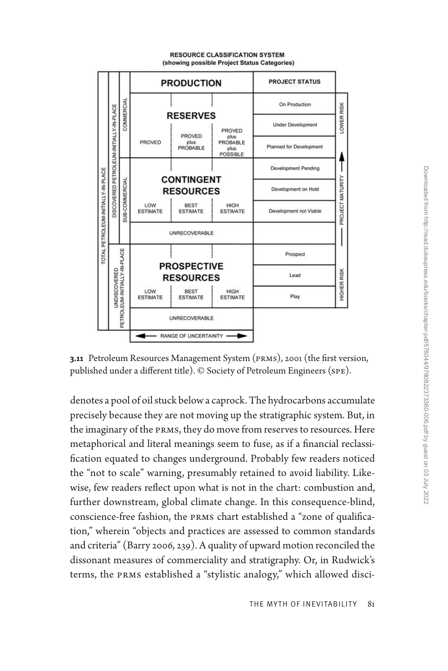<span id="page-16-0"></span>

#### **RESOURCE CLASSIFICATION SYSTEM** (showing possible Project Status Categories)

**3.11** Petroleum Resources Management System (prms), 2001 (the first version, published under a different title). © Society of Petroleum Engineers (spe).

denotes a pool of oil stuck below a caprock. The hydrocarbons accumulate precisely because they are not moving up the stratigraphic system. But, in the imaginary of the PRMS, they do move from reserves to resources. Here metaphorical and literal meanings seem to fuse, as if a financial reclassification equated to changes underground. Probably few readers noticed the "not to scale" warning, presumably retained to avoid liability. Likewise, few readers reflect upon what is not in the chart: combustion and, further downstream, global climate change. In this consequence-blind, conscience-free fashion, the prms chart established a "zone of qualification," wherein "objects and practices are assessed to common standards and criteria" (Barry 2006, 239). A quality of upward motion reconciled the dissonant measures of commerciality and stratigraphy. Or, in Rudwick's terms, the prms established a "stylistic analogy," which allowed disci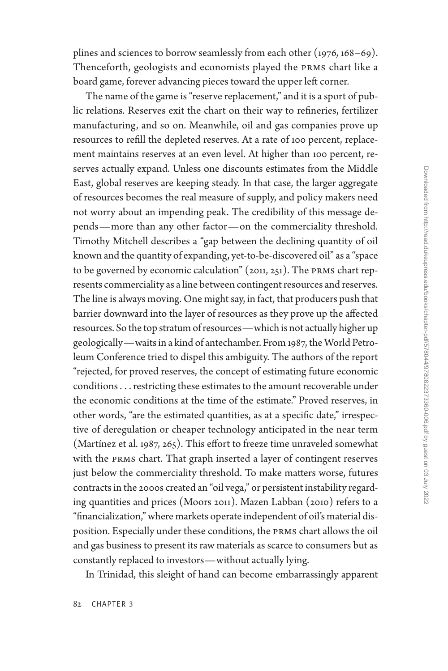plines and sciences to borrow seamlessly from each other (1976, 168–69). Thenceforth, geologists and economists played the prms chart like a board game, forever advancing pieces toward the upper left corner.

The name of the game is "reserve replacement," and it is a sport of public relations. Reserves exit the chart on their way to refineries, fertilizer manufacturing, and so on. Meanwhile, oil and gas companies prove up resources to refill the depleted reserves. At a rate of 100 percent, replacement maintains reserves at an even level. At higher than 100 percent, reserves actually expand. Unless one discounts estimates from the Middle East, global reserves are keeping steady. In that case, the larger aggregate of resources becomes the real measure of supply, and policy makers need not worry about an impending peak. The credibility of this message depends—more than any other factor—on the commerciality threshold. Timothy Mitchell describes a "gap between the declining quantity of oil known and the quantity of expanding, yet-to-be-discovered oil" as a "space to be governed by economic calculation" (2011, 251). The prms chart represents commerciality as a line between contingent resources and reserves. The line is always moving. One might say, in fact, that producers push that barrier downward into the layer of resources as they prove up the affected resources. So the top stratum of resources—which is not actually higher up geologically—waits in a kind of antechamber. From 1987, the World Petroleum Conference tried to dispel this ambiguity. The authors of the report "rejected, for proved reserves, the concept of estimating future economic conditions . . . restricting these estimates to the amount recoverable under the economic conditions at the time of the estimate." Proved reserves, in other words, "are the estimated quantities, as at a specific date," irrespective of deregulation or cheaper technology anticipated in the near term (Martínez et al. 1987, 265). This effort to freeze time unraveled somewhat with the PRMS chart. That graph inserted a layer of contingent reserves just below the commerciality threshold. To make matters worse, futures contracts in the 2000s created an "oil vega," or persistent instability regarding quantities and prices (Moors 2011). Mazen Labban (2010) refers to a "financialization," where markets operate independent of oil's material disposition. Especially under these conditions, the prms chart allows the oil and gas business to present its raw materials as scarce to consumers but as constantly replaced to investors—without actually lying.

In Trinidad, this sleight of hand can become embarrassingly apparent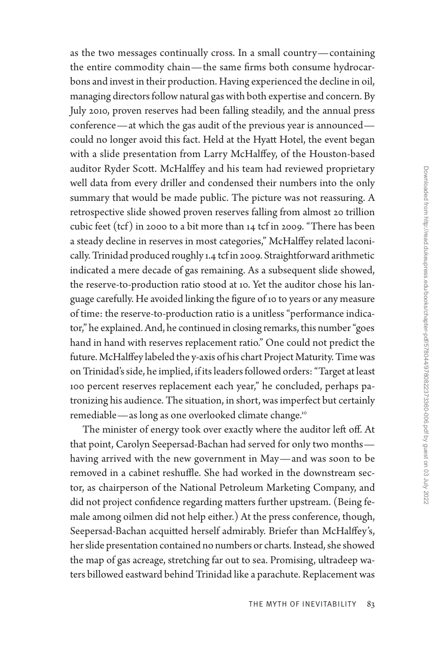as the two messages continually cross. In a small country—containing the entire commodity chain—the same firms both consume hydrocarbons and invest in their production. Having experienced the decline in oil, managing directors follow natural gas with both expertise and concern. By July 2010, proven reserves had been falling steadily, and the annual press conference—at which the gas audit of the previous year is announced could no longer avoid this fact. Held at the Hyatt Hotel, the event began with a slide presentation from Larry McHalffey, of the Houston-based auditor Ryder Scott. McHalffey and his team had reviewed proprietary well data from every driller and condensed their numbers into the only summary that would be made public. The picture was not reassuring. A retrospective slide showed proven reserves falling from almost 20 trillion cubic feet (tcf) in 2000 to a bit more than 14 tcf in 2009. "There has been a steady decline in reserves in most categories," McHalffey related laconically. Trinidad produced roughly 1.4 tcf in 2009. Straightforward arithmetic indicated a mere decade of gas remaining. As a subsequent slide showed, the reserve-to-production ratio stood at 10. Yet the auditor chose his language carefully. He avoided linking the figure of 10 to years or any measure of time: the reserve-to-production ratio is a unitless "performance indicator," he explained. And, he continued in closing remarks, this number "goes hand in hand with reserves replacement ratio." One could not predict the future. McHalffey labeled the y-axis of his chart Project Maturity. Time was on Trinidad's side, he implied, if its leaders followed orders: "Target at least 100 percent reserves replacement each year," he concluded, perhaps patronizing his audience. The situation, in short, was imperfect but certainly remediable—as long as one overlooked climate change[.10](#page--1-0)

The minister of energy took over exactly where the auditor left off. At that point, Carolyn Seepersad-Bachan had served for only two months having arrived with the new government in May—and was soon to be removed in a cabinet reshuffle. She had worked in the downstream sector, as chairperson of the National Petroleum Marketing Company, and did not project confidence regarding matters further upstream. (Being female among oilmen did not help either.) At the press conference, though, Seepersad-Bachan acquitted herself admirably. Briefer than McHalffey's, her slide presentation contained no numbers or charts. Instead, she showed the map of gas acreage, stretching far out to sea. Promising, ultradeep waters billowed eastward behind Trinidad like a parachute. Replacement was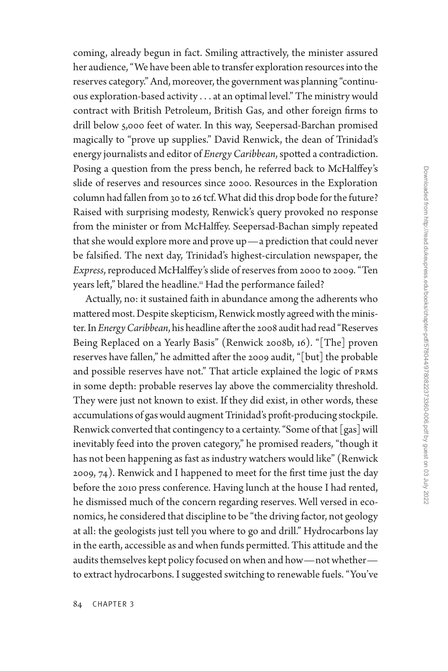coming, already begun in fact. Smiling attractively, the minister assured her audience, "We have been able to transfer exploration resources into the reserves category." And, moreover, the government was planning "continuous exploration-based activity . . . at an optimal level." The ministry would contract with British Petroleum, British Gas, and other foreign firms to drill below 5,000 feet of water. In this way, Seepersad-Barchan promised magically to "prove up supplies." David Renwick, the dean of Trinidad's energy journalists and editor of *Energy Caribbean*, spotted a contradiction. Posing a question from the press bench, he referred back to McHalffey's slide of reserves and resources since 2000. Resources in the Exploration column had fallen from 30 to 26 tcf. What did this drop bode for the future? Raised with surprising modesty, Renwick's query provoked no response from the minister or from McHalffey. Seepersad-Bachan simply repeated that she would explore more and prove up—a prediction that could never be falsified. The next day, Trinidad's highest-circulation newspaper, the *Express*, reproduced McHalffey's slide of reserves from 2000 to 2009. "Ten years left," blared the headline.<sup>11</sup> Had the performance failed?

Actually, no: it sustained faith in abundance among the adherents who mattered most. Despite skepticism, Renwick mostly agreed with the minister. In *Energy Caribbean*, his headline after the 2008 audit had read "Reserves Being Replaced on a Yearly Basis" (Renwick 2008b, 16). "[The] proven reserves have fallen," he admitted after the 2009 audit, "[but] the probable and possible reserves have not." That article explained the logic of PRMS in some depth: probable reserves lay above the commerciality threshold. They were just not known to exist. If they did exist, in other words, these accumulations of gas would augment Trinidad's profit-producing stockpile. Renwick converted that contingency to a certainty. "Some of that [gas] will inevitably feed into the proven category," he promised readers, "though it has not been happening as fast as industry watchers would like" (Renwick 2009, 74). Renwick and I happened to meet for the first time just the day before the 2010 press conference. Having lunch at the house I had rented, he dismissed much of the concern regarding reserves. Well versed in economics, he considered that discipline to be "the driving factor, not geology at all: the geologists just tell you where to go and drill." Hydrocarbons lay in the earth, accessible as and when funds permitted. This attitude and the audits themselves kept policy focused on when and how—not whether to extract hydrocarbons. I suggested switching to renewable fuels. "You've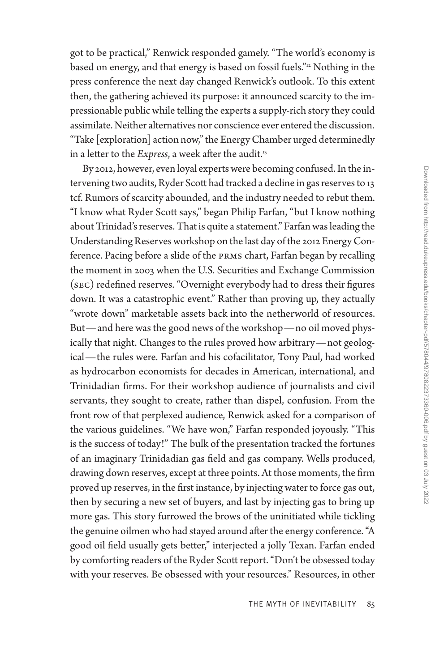got to be practical," Renwick responded gamely. "The world's economy is based on energy, and that energy is based on fossil fuels."<sup>12</sup> Nothing in the press conference the next day changed Renwick's outlook. To this extent then, the gathering achieved its purpose: it announced scarcity to the impressionable public while telling the experts a supply-rich story they could assimilate. Neither alternatives nor conscience ever entered the discussion. "Take [exploration] action now," the Energy Chamber urged determinedly in a letter to the *Express*, a week after the audit.<sup>13</sup>

By 2012, however, even loyal experts were becoming confused. In the intervening two audits, Ryder Scott had tracked a decline in gas reserves to 13 tcf. Rumors of scarcity abounded, and the industry needed to rebut them. "I know what Ryder Scott says," began Philip Farfan, "but I know nothing about Trinidad's reserves. That is quite a statement." Farfan was leading the Understanding Reserves workshop on the last day of the 2012 Energy Conference. Pacing before a slide of the prms chart, Farfan began by recalling the moment in 2003 when the U.S. Securities and Exchange Commission (sec) redefined reserves. "Overnight everybody had to dress their figures down. It was a catastrophic event." Rather than proving up, they actually "wrote down" marketable assets back into the netherworld of resources. But—and here was the good news of the workshop—no oil moved physically that night. Changes to the rules proved how arbitrary—not geological—the rules were. Farfan and his cofacilitator, Tony Paul, had worked as hydrocarbon economists for decades in American, international, and Trinidadian firms. For their workshop audience of journalists and civil servants, they sought to create, rather than dispel, confusion. From the front row of that perplexed audience, Renwick asked for a comparison of the various guidelines. "We have won," Farfan responded joyously. "This is the success of today!" The bulk of the presentation tracked the fortunes of an imaginary Trinidadian gas field and gas company. Wells produced, drawing down reserves, except at three points. At those moments, the firm proved up reserves, in the first instance, by injecting water to force gas out, then by securing a new set of buyers, and last by injecting gas to bring up more gas. This story furrowed the brows of the uninitiated while tickling the genuine oilmen who had stayed around after the energy conference. "A good oil field usually gets better," interjected a jolly Texan. Farfan ended by comforting readers of the Ryder Scott report. "Don't be obsessed today with your reserves. Be obsessed with your resources." Resources, in other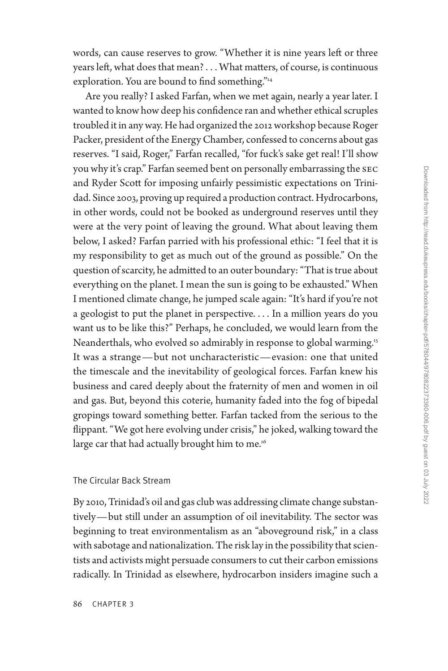words, can cause reserves to grow. "Whether it is nine years left or three years left, what does that mean? . . . What matters, of course, is continuous exploration. You are bound to find something."<sup>[14](#page--1-0)</sup>

Are you really? I asked Farfan, when we met again, nearly a year later. I wanted to know how deep his confidence ran and whether ethical scruples troubled it in any way. He had organized the 2012 workshop because Roger Packer, president of the Energy Chamber, confessed to concerns about gas reserves. "I said, Roger," Farfan recalled, "for fuck's sake get real! I'll show you why it's crap." Farfan seemed bent on personally embarrassing the sec and Ryder Scott for imposing unfairly pessimistic expectations on Trinidad. Since 2003, proving up required a production contract. Hydrocarbons, in other words, could not be booked as underground reserves until they were at the very point of leaving the ground. What about leaving them below, I asked? Farfan parried with his professional ethic: "I feel that it is my responsibility to get as much out of the ground as possible." On the question of scarcity, he admitted to an outer boundary: "That is true about everything on the planet. I mean the sun is going to be exhausted." When I mentioned climate change, he jumped scale again: "It's hard if you're not a geologist to put the planet in perspective. . . . In a million years do you want us to be like this?" Perhaps, he concluded, we would learn from the Neanderthals, who evolved so admirably in response to global warming.<sup>15</sup> It was a strange—but not uncharacteristic—evasion: one that united the timescale and the inevitability of geological forces. Farfan knew his business and cared deeply about the fraternity of men and women in oil and gas. But, beyond this coterie, humanity faded into the fog of bipedal gropings toward something better. Farfan tacked from the serious to the flippant. "We got here evolving under crisis," he joked, walking toward the large car that had actually brought him to me.<sup>[16](#page--1-0)</sup>

#### The Circular Back Stream

By 2010, Trinidad's oil and gas club was addressing climate change substantively—but still under an assumption of oil inevitability. The sector was beginning to treat environmentalism as an "aboveground risk," in a class with sabotage and nationalization. The risk lay in the possibility that scientists and activists might persuade consumers to cut their carbon emissions radically. In Trinidad as elsewhere, hydrocarbon insiders imagine such a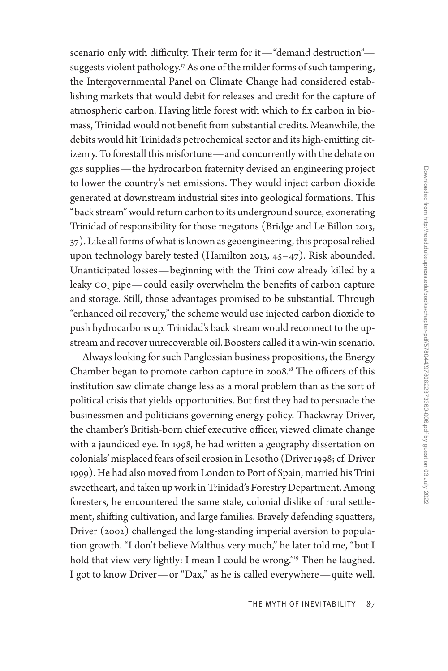scenario only with difficulty. Their term for it—"demand destruction"suggests violent pathology.<sup>17</sup> As one of the milder forms of such tampering, the Intergovernmental Panel on Climate Change had considered establishing markets that would debit for releases and credit for the capture of atmospheric carbon. Having little forest with which to fix carbon in biomass, Trinidad would not benefit from substantial credits. Meanwhile, the debits would hit Trinidad's petrochemical sector and its high-emitting citizenry. To forestall this misfortune—and concurrently with the debate on gas supplies—the hydrocarbon fraternity devised an engineering project to lower the country's net emissions. They would inject carbon dioxide generated at downstream industrial sites into geological formations. This "back stream" would return carbon to its underground source, exonerating Trinidad of responsibility for those megatons (Bridge and Le Billon 2013, 37). Like all forms of what is known as geoengineering, this proposal relied upon technology barely tested (Hamilton 2013, 45–47). Risk abounded. Unanticipated losses—beginning with the Trini cow already killed by a leaky CO<sub>,</sub> pipe—could easily overwhelm the benefits of carbon capture and storage. Still, those advantages promised to be substantial. Through "enhanced oil recovery," the scheme would use injected carbon dioxide to push hydrocarbons up. Trinidad's back stream would reconnect to the upstream and recover unrecoverable oil. Boosters called it a win-win scenario.

Always looking for such Panglossian business propositions, the Energy Chamber began to promote carbon capture in 2008[.18](#page--1-0) The officers of this institution saw climate change less as a moral problem than as the sort of political crisis that yields opportunities. But first they had to persuade the businessmen and politicians governing energy policy. Thackwray Driver, the chamber's British-born chief executive officer, viewed climate change with a jaundiced eye. In 1998, he had written a geography dissertation on colonials' misplaced fears of soil erosion in Lesotho (Driver 1998; cf. Driver 1999). He had also moved from London to Port of Spain, married his Trini sweetheart, and taken up work in Trinidad's Forestry Department. Among foresters, he encountered the same stale, colonial dislike of rural settlement, shifting cultivation, and large families. Bravely defending squatters, Driver (2002) challenged the long-standing imperial aversion to population growth. "I don't believe Malthus very much," he later told me, "but I hold that view very lightly: I mean I could be wrong."<sup>19</sup> Then he laughed. I got to know Driver—or "Dax," as he is called everywhere—quite well.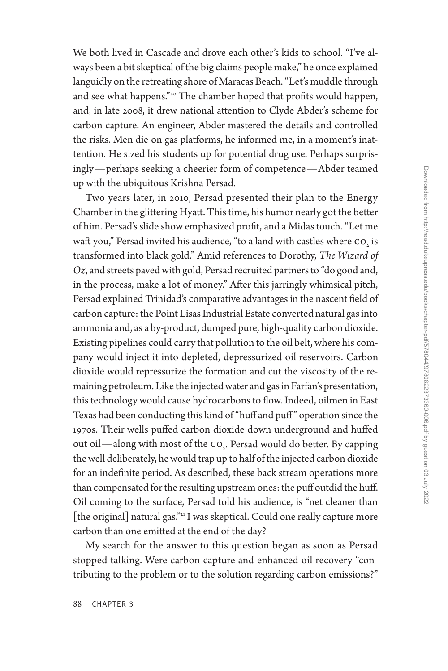We both lived in Cascade and drove each other's kids to school. "I've always been a bit skeptical of the big claims people make," he once explained languidly on the retreating shore of Maracas Beach. "Let's muddle through and see what happens."<sup>20</sup> The chamber hoped that profits would happen, and, in late 2008, it drew national attention to Clyde Abder's scheme for carbon capture. An engineer, Abder mastered the details and controlled the risks. Men die on gas platforms, he informed me, in a moment's inattention. He sized his students up for potential drug use. Perhaps surprisingly—perhaps seeking a cheerier form of competence—Abder teamed up with the ubiquitous Krishna Persad.

Two years later, in 2010, Persad presented their plan to the Energy Chamber in the glittering Hyatt. This time, his humor nearly got the better of him. Persad's slide show emphasized profit, and a Midas touch. "Let me waft you," Persad invited his audience, "to a land with castles where CO, is transformed into black gold." Amid references to Dorothy, *The Wizard of Oz*, and streets paved with gold, Persad recruited partners to "do good and, in the process, make a lot of money." After this jarringly whimsical pitch, Persad explained Trinidad's comparative advantages in the nascent field of carbon capture: the Point Lisas Industrial Estate converted natural gas into ammonia and, as a by-product, dumped pure, high-quality carbon dioxide. Existing pipelines could carry that pollution to the oil belt, where his company would inject it into depleted, depressurized oil reservoirs. Carbon dioxide would repressurize the formation and cut the viscosity of the remaining petroleum. Like the injected water and gas in Farfan's presentation, this technology would cause hydrocarbons to flow. Indeed, oilmen in East Texas had been conducting this kind of "huff and puff " operation since the 1970s. Their wells puffed carbon dioxide down underground and huffed out oil—along with most of the CO<sub>2</sub>. Persad would do better. By capping the well deliberately, he would trap up to half of the injected carbon dioxide for an indefinite period. As described, these back stream operations more than compensated for the resulting upstream ones: the puff outdid the huff. Oil coming to the surface, Persad told his audience, is "net cleaner than [the original] natural gas."<sup>21</sup> I was skeptical. Could one really capture more carbon than one emitted at the end of the day?

My search for the answer to this question began as soon as Persad stopped talking. Were carbon capture and enhanced oil recovery "contributing to the problem or to the solution regarding carbon emissions?"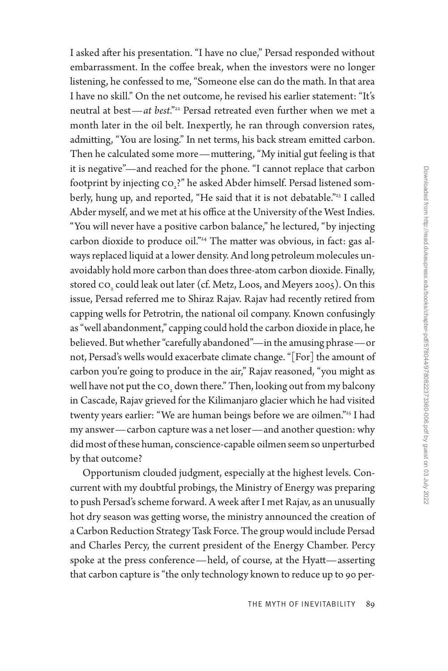I asked after his presentation. "I have no clue," Persad responded without embarrassment. In the coffee break, when the investors were no longer listening, he confessed to me, "Someone else can do the math. In that area I have no skill." On the net outcome, he revised his earlier statement: "It's neutral at best—*at best*."[22](#page--1-0) Persad retreated even further when we met a month later in the oil belt. Inexpertly, he ran through conversion rates, admitting, "You are losing." In net terms, his back stream emitted carbon. Then he calculated some more—muttering, "My initial gut feeling is that it is negative"—and reached for the phone. "I cannot replace that carbon footprint by injecting CO<sub>3</sub>?" he asked Abder himself. Persad listened somberly, hung up, and reported, "He said that it is not debatable."<sup>23</sup> I called Abder myself, and we met at his office at the University of the West Indies. "You will never have a positive carbon balance," he lectured, "by injecting carbon dioxide to produce oil."[24](#page--1-0) The matter was obvious, in fact: gas always replaced liquid at a lower density. And long petroleum molecules unavoidably hold more carbon than does three-atom carbon dioxide. Finally, stored CO<sub>2</sub> could leak out later (cf. Metz, Loos, and Meyers 2005). On this issue, Persad referred me to Shiraz Rajav. Rajav had recently retired from capping wells for Petrotrin, the national oil company. Known confusingly as "well abandonment," capping could hold the carbon dioxide in place, he believed. But whether "carefully abandoned"—in the amusing phrase—or not, Persad's wells would exacerbate climate change. "[For] the amount of carbon you're going to produce in the air," Rajav reasoned, "you might as well have not put the CO<sub>2</sub> down there." Then, looking out from my balcony in Cascade, Rajav grieved for the Kilimanjaro glacier which he had visited twenty years earlier: "We are human beings before we are oilmen."<sup>25</sup> I had my answer—carbon capture was a net loser—and another question: why did most of these human, conscience-capable oilmen seem so unperturbed by that outcome?

Opportunism clouded judgment, especially at the highest levels. Concurrent with my doubtful probings, the Ministry of Energy was preparing to push Persad's scheme forward. A week after I met Rajav, as an unusually hot dry season was getting worse, the ministry announced the creation of a Carbon Reduction Strategy Task Force. The group would include Persad and Charles Percy, the current president of the Energy Chamber. Percy spoke at the press conference—held, of course, at the Hyatt—asserting that carbon capture is "the only technology known to reduce up to 90 per-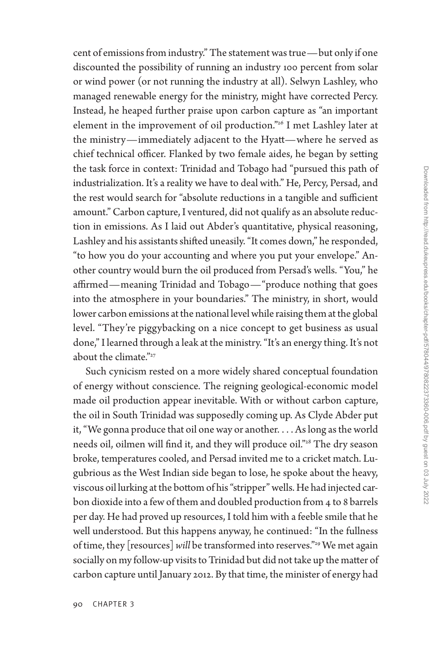cent of emissions from industry." The statement was true—but only if one discounted the possibility of running an industry 100 percent from solar or wind power (or not running the industry at all). Selwyn Lashley, who managed renewable energy for the ministry, might have corrected Percy. Instead, he heaped further praise upon carbon capture as "an important element in the improvement of oil production.["26](#page--1-0) I met Lashley later at the ministry—immediately adjacent to the Hyatt—where he served as chief technical officer. Flanked by two female aides, he began by setting the task force in context: Trinidad and Tobago had "pursued this path of industrialization. It's a reality we have to deal with." He, Percy, Persad, and the rest would search for "absolute reductions in a tangible and sufficient amount." Carbon capture, I ventured, did not qualify as an absolute reduction in emissions. As I laid out Abder's quantitative, physical reasoning, Lashley and his assistants shifted uneasily. "It comes down," he responded, "to how you do your accounting and where you put your envelope." Another country would burn the oil produced from Persad's wells. "You," he affirmed—meaning Trinidad and Tobago—"produce nothing that goes into the atmosphere in your boundaries." The ministry, in short, would lower carbon emissions at the national level while raising them at the global level. "They're piggybacking on a nice concept to get business as usual done," I learned through a leak at the ministry. "It's an energy thing. It's not about the climate."<sup>27</sup>

Such cynicism rested on a more widely shared conceptual foundation of energy without conscience. The reigning geological-economic model made oil production appear inevitable. With or without carbon capture, the oil in South Trinidad was supposedly coming up. As Clyde Abder put it, "We gonna produce that oil one way or another. . . . As long as the world needs oil, oilmen will find it, and they will produce oil."<sup>28</sup> The dry season broke, temperatures cooled, and Persad invited me to a cricket match. Lugubrious as the West Indian side began to lose, he spoke about the heavy, viscous oil lurking at the bottom of his "stripper" wells. He had injected carbon dioxide into a few of them and doubled production from 4 to 8 barrels per day. He had proved up resources, I told him with a feeble smile that he well understood. But this happens anyway, he continued: "In the fullness of time, they [resources] will be transformed into reserves."<sup>29</sup> We met again socially on my follow-up visits to Trinidad but did not take up the matter of carbon capture until January 2012. By that time, the minister of energy had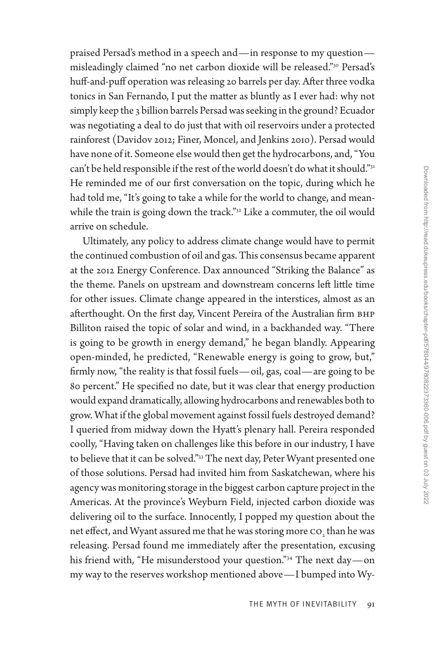praised Persad's method in a speech and—in response to my question misleadingly claimed "no net carbon dioxide will be released.["30](#page--1-0) Persad's huff-and-puff operation was releasing 20 barrels per day. After three vodka tonics in San Fernando, I put the matter as bluntly as I ever had: why not simply keep the 3 billion barrels Persad was seeking in the ground? Ecuador was negotiating a deal to do just that with oil reservoirs under a protected rainforest (Davidov 2012; Finer, Moncel, and Jenkins 2010). Persad would have none of it. Someone else would then get the hydrocarbons, and, "You can't be held responsible if the rest of the world doesn't do what it should.["31](#page--1-0) He reminded me of our first conversation on the topic, during which he had told me, "It's going to take a while for the world to change, and meanwhile the train is going down the track."<sup>32</sup> Like a commuter, the oil would arrive on schedule.

Ultimately, any policy to address climate change would have to permit the continued combustion of oil and gas. This consensus became apparent at the 2012 Energy Conference. Dax announced "Striking the Balance" as the theme. Panels on upstream and downstream concerns left little time for other issues. Climate change appeared in the interstices, almost as an afterthought. On the first day, Vincent Pereira of the Australian firm BHP Billiton raised the topic of solar and wind, in a backhanded way. "There is going to be growth in energy demand," he began blandly. Appearing open-minded, he predicted, "Renewable energy is going to grow, but," firmly now, "the reality is that fossil fuels—oil, gas, coal—are going to be 80 percent." He specified no date, but it was clear that energy production would expand dramatically, allowing hydrocarbons and renewables both to grow. What if the global movement against fossil fuels destroyed demand? I queried from midway down the Hyatt's plenary hall. Pereira responded coolly, "Having taken on challenges like this before in our industry, I have to believe that it can be solved.["33](#page--1-0) The next day, Peter Wyant presented one of those solutions. Persad had invited him from Saskatchewan, where his agency was monitoring storage in the biggest carbon capture project in the Americas. At the province's Weyburn Field, injected carbon dioxide was delivering oil to the surface. Innocently, I popped my question about the net effect, and Wyant assured me that he was storing more CO, than he was releasing. Persad found me immediately after the presentation, excusing his friend with, "He misunderstood your question."[34](#page--1-0) The next day—on my way to the reserves workshop mentioned above—I bumped into Wy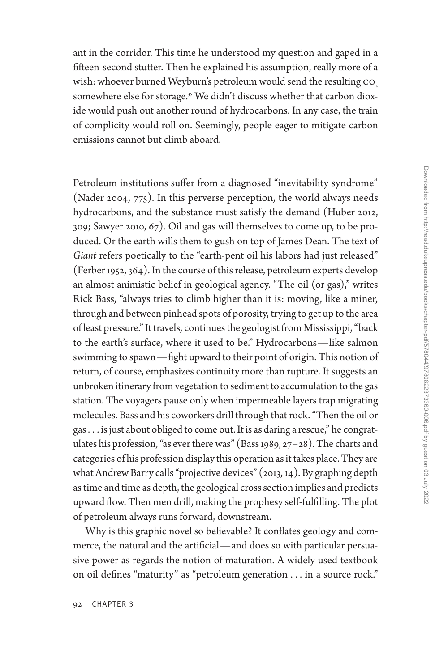ant in the corridor. This time he understood my question and gaped in a fifteen-second stutter. Then he explained his assumption, really more of a wish: whoever burned Weyburn's petroleum would send the resulting CO. somewhere else for storage.<sup>35</sup> We didn't discuss whether that carbon dioxide would push out another round of hydrocarbons. In any case, the train of complicity would roll on. Seemingly, people eager to mitigate carbon emissions cannot but climb aboard.

Petroleum institutions suffer from a diagnosed "inevitability syndrome" (Nader 2004, 775). In this perverse perception, the world always needs hydrocarbons, and the substance must satisfy the demand (Huber 2012, 309; Sawyer 2010, 67). Oil and gas will themselves to come up, to be produced. Or the earth wills them to gush on top of James Dean. The text of *Giant* refers poetically to the "earth-pent oil his labors had just released" (Ferber 1952, 364). In the course of this release, petroleum experts develop an almost animistic belief in geological agency. "The oil (or gas)," writes Rick Bass, "always tries to climb higher than it is: moving, like a miner, through and between pinhead spots of porosity, trying to get up to the area of least pressure." It travels, continues the geologist from Mississippi, "back to the earth's surface, where it used to be." Hydrocarbons—like salmon swimming to spawn—fight upward to their point of origin. This notion of return, of course, emphasizes continuity more than rupture. It suggests an unbroken itinerary from vegetation to sediment to accumulation to the gas station. The voyagers pause only when impermeable layers trap migrating molecules. Bass and his coworkers drill through that rock. "Then the oil or gas . . . is just about obliged to come out. It is as daring a rescue," he congratulates his profession, "as ever there was" (Bass 1989, 27–28). The charts and categories of his profession display this operation as it takes place. They are what Andrew Barry calls "projective devices" (2013, 14). By graphing depth as time and time as depth, the geological cross section implies and predicts upward flow. Then men drill, making the prophesy self-fulfilling. The plot of petroleum always runs forward, downstream.

Why is this graphic novel so believable? It conflates geology and commerce, the natural and the artificial—and does so with particular persuasive power as regards the notion of maturation. A widely used textbook on oil defines "maturity" as "petroleum generation . . . in a source rock."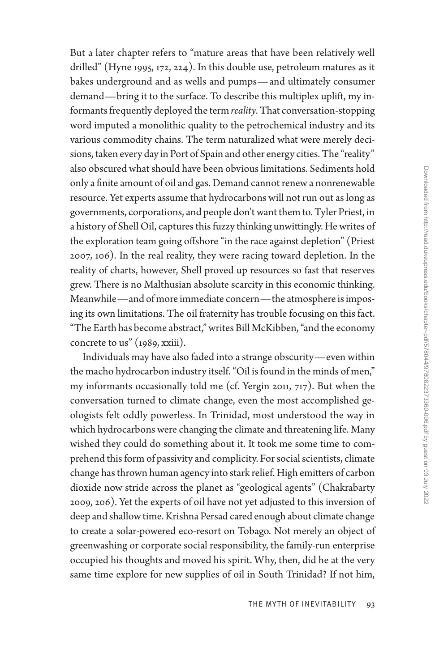But a later chapter refers to "mature areas that have been relatively well drilled" (Hyne 1995, 172, 224). In this double use, petroleum matures as it bakes underground and as wells and pumps—and ultimately consumer demand—bring it to the surface. To describe this multiplex uplift, my informants frequently deployed the term *reality*. That conversation-stopping word imputed a monolithic quality to the petrochemical industry and its various commodity chains. The term naturalized what were merely decisions, taken every day in Port of Spain and other energy cities. The "reality" also obscured what should have been obvious limitations. Sediments hold only a finite amount of oil and gas. Demand cannot renew a nonrenewable resource. Yet experts assume that hydrocarbons will not run out as long as governments, corporations, and people don't want them to. Tyler Priest, in a history of Shell Oil, captures this fuzzy thinking unwittingly. He writes of the exploration team going offshore "in the race against depletion" (Priest 2007, 106). In the real reality, they were racing toward depletion. In the reality of charts, however, Shell proved up resources so fast that reserves grew. There is no Malthusian absolute scarcity in this economic thinking. Meanwhile—and of more immediate concern—the atmosphere is imposing its own limitations. The oil fraternity has trouble focusing on this fact. "The Earth has become abstract," writes Bill McKibben, "and the economy concrete to us" (1989, xxiii).

Individuals may have also faded into a strange obscurity—even within the macho hydrocarbon industry itself. "Oil is found in the minds of men," my informants occasionally told me (cf. Yergin 2011, 717). But when the conversation turned to climate change, even the most accomplished geologists felt oddly powerless. In Trinidad, most understood the way in which hydrocarbons were changing the climate and threatening life. Many wished they could do something about it. It took me some time to comprehend this form of passivity and complicity. For social scientists, climate change has thrown human agency into stark relief. High emitters of carbon dioxide now stride across the planet as "geological agents" (Chakrabarty 2009, 206). Yet the experts of oil have not yet adjusted to this inversion of deep and shallow time. Krishna Persad cared enough about climate change to create a solar-powered eco-resort on Tobago. Not merely an object of greenwashing or corporate social responsibility, the family-run enterprise occupied his thoughts and moved his spirit. Why, then, did he at the very same time explore for new supplies of oil in South Trinidad? If not him,